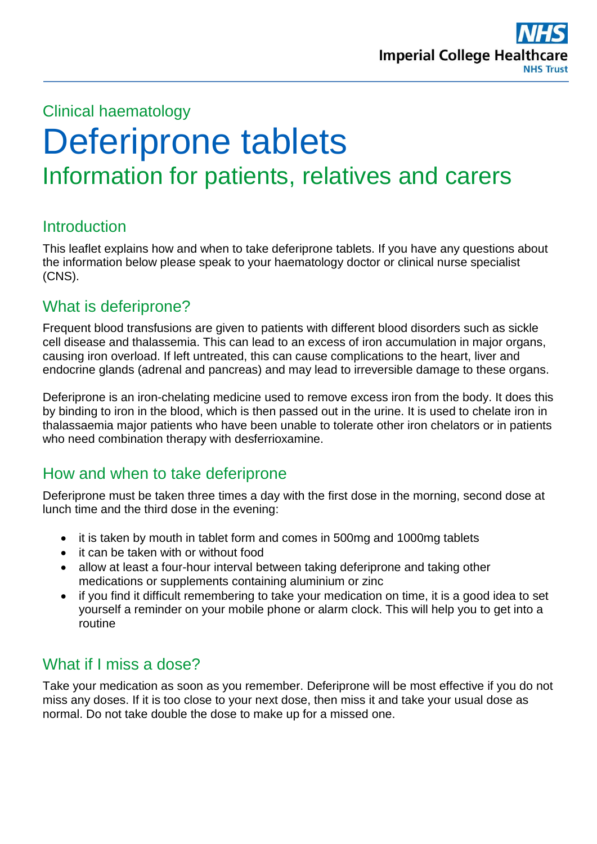

## Clinical haematology

# Deferiprone tablets Information for patients, relatives and carers

#### **Introduction**

This leaflet explains how and when to take deferiprone tablets. If you have any questions about the information below please speak to your haematology doctor or clinical nurse specialist (CNS).

## What is deferiprone?

Frequent blood transfusions are given to patients with different blood disorders such as sickle cell disease and thalassemia. This can lead to an excess of iron accumulation in major organs, causing iron overload. If left untreated, this can cause complications to the heart, liver and endocrine glands (adrenal and pancreas) and may lead to irreversible damage to these organs.

Deferiprone is an iron-chelating medicine used to remove excess iron from the body. It does this by binding to iron in the blood, which is then passed out in the urine. It is used to chelate iron in thalassaemia major patients who have been unable to tolerate other iron chelators or in patients who need combination therapy with desferrioxamine.

## How and when to take deferiprone

Deferiprone must be taken three times a day with the first dose in the morning, second dose at lunch time and the third dose in the evening:

- it is taken by mouth in tablet form and comes in 500mg and 1000mg tablets
- it can be taken with or without food
- allow at least a four-hour interval between taking deferiprone and taking other medications or supplements containing aluminium or zinc
- if you find it difficult remembering to take your medication on time, it is a good idea to set yourself a reminder on your mobile phone or alarm clock. This will help you to get into a routine

## What if I miss a dose?

Take your medication as soon as you remember. Deferiprone will be most effective if you do not miss any doses. If it is too close to your next dose, then miss it and take your usual dose as normal. Do not take double the dose to make up for a missed one.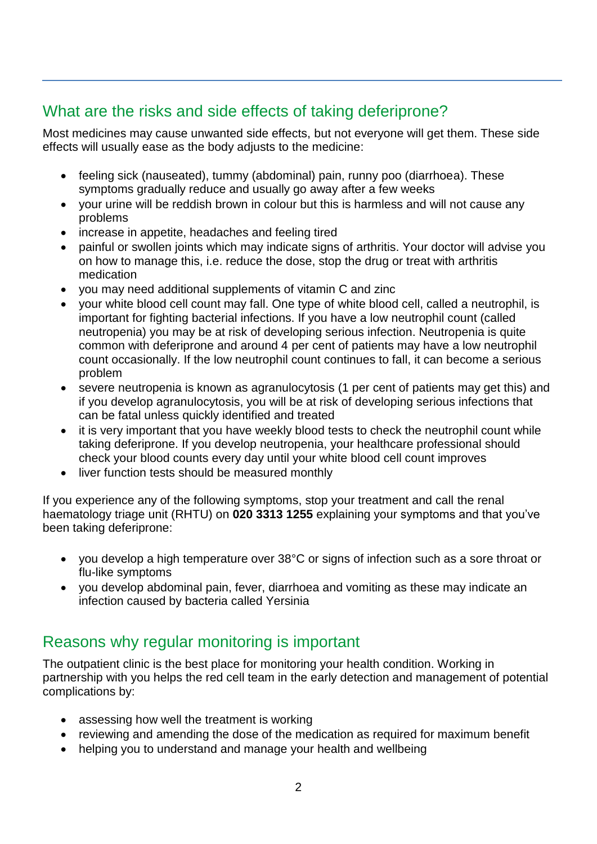# What are the risks and side effects of taking deferiprone?

Most medicines may cause unwanted side effects, but not everyone will get them. These side effects will usually ease as the body adjusts to the medicine:

- feeling sick (nauseated), tummy (abdominal) pain, runny poo (diarrhoea). These symptoms gradually reduce and usually go away after a few weeks
- your urine will be reddish brown in colour but this is harmless and will not cause any problems
- increase in appetite, headaches and feeling tired
- painful or swollen joints which may indicate signs of arthritis. Your doctor will advise you on how to manage this, i.e. reduce the dose, stop the drug or treat with arthritis medication
- you may need additional supplements of vitamin C and zinc
- your white blood cell count may fall. One type of white blood cell, called a neutrophil, is important for fighting bacterial infections. If you have a low neutrophil count (called neutropenia) you may be at risk of developing serious infection. Neutropenia is quite common with deferiprone and around 4 per cent of patients may have a low neutrophil count occasionally. If the low neutrophil count continues to fall, it can become a serious problem
- severe neutropenia is known as agranulocytosis (1 per cent of patients may get this) and if you develop agranulocytosis, you will be at risk of developing serious infections that can be fatal unless quickly identified and treated
- it is very important that you have weekly blood tests to check the neutrophil count while taking deferiprone. If you develop neutropenia, your healthcare professional should check your blood counts every day until your white blood cell count improves
- liver function tests should be measured monthly

If you experience any of the following symptoms, stop your treatment and call the renal haematology triage unit (RHTU) on **020 3313 1255** explaining your symptoms and that you've been taking deferiprone:

- you develop a high temperature over 38°C or signs of infection such as a sore throat or flu-like symptoms
- you develop abdominal pain, fever, diarrhoea and vomiting as these may indicate an infection caused by bacteria called Yersinia

## Reasons why regular monitoring is important

The outpatient clinic is the best place for monitoring your health condition. Working in partnership with you helps the red cell team in the early detection and management of potential complications by:

- assessing how well the treatment is working
- reviewing and amending the dose of the medication as required for maximum benefit
- helping you to understand and manage your health and wellbeing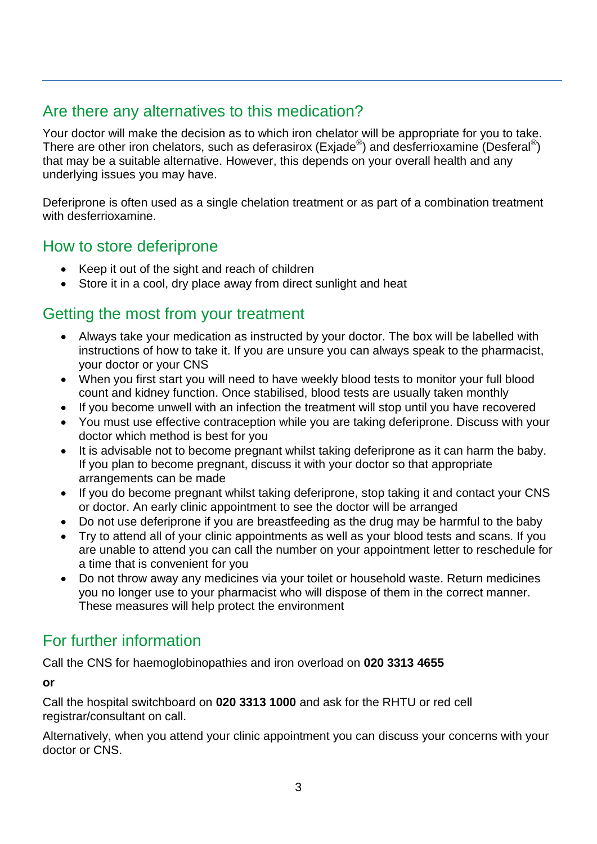## Are there any alternatives to this medication?

Your doctor will make the decision as to which iron chelator will be appropriate for you to take. There are other iron chelators, such as deferasirox (Exjade®) and desferrioxamine (Desferal®) that may be a suitable alternative. However, this depends on your overall health and any underlying issues you may have.

Deferiprone is often used as a single chelation treatment or as part of a combination treatment with desferrioxamine.

## How to store deferiprone

- Keep it out of the sight and reach of children
- Store it in a cool, dry place away from direct sunlight and heat

#### Getting the most from your treatment

- Always take your medication as instructed by your doctor. The box will be labelled with instructions of how to take it. If you are unsure you can always speak to the pharmacist, your doctor or your CNS
- When you first start you will need to have weekly blood tests to monitor your full blood count and kidney function. Once stabilised, blood tests are usually taken monthly
- If you become unwell with an infection the treatment will stop until you have recovered
- You must use effective contraception while you are taking deferiprone. Discuss with your doctor which method is best for you
- It is advisable not to become pregnant whilst taking deferiprone as it can harm the baby. If you plan to become pregnant, discuss it with your doctor so that appropriate arrangements can be made
- If you do become pregnant whilst taking deferiprone, stop taking it and contact your CNS or doctor. An early clinic appointment to see the doctor will be arranged
- Do not use deferiprone if you are breastfeeding as the drug may be harmful to the baby
- Try to attend all of your clinic appointments as well as your blood tests and scans. If you are unable to attend you can call the number on your appointment letter to reschedule for a time that is convenient for you
- Do not throw away any medicines via your toilet or household waste. Return medicines you no longer use to your pharmacist who will dispose of them in the correct manner. These measures will help protect the environment

## For further information

Call the CNS for haemoglobinopathies and iron overload on **020 3313 4655** 

**or**

Call the hospital switchboard on **020 3313 1000** and ask for the RHTU or red cell registrar/consultant on call.

Alternatively, when you attend your clinic appointment you can discuss your concerns with your doctor or CNS.